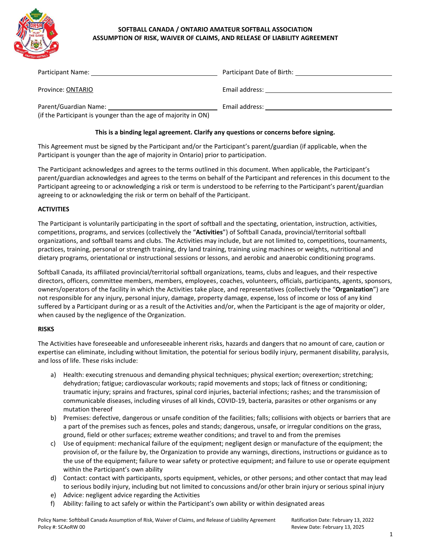

# **SOFTBALL CANADA / ONTARIO AMATEUR SOFTBALL ASSOCIATION ASSUMPTION OF RISK, WAIVER OF CLAIMS, AND RELEASE OF LIABILITY AGREEMENT**

| Participant Name:                                                                       | Participant Date of Birth: |
|-----------------------------------------------------------------------------------------|----------------------------|
| Province: ONTARIO                                                                       | Email address:             |
| Parent/Guardian Name:<br>(if the Participant is younger than the age of majority in ON) | Email address:             |

### **This is a binding legal agreement. Clarify any questions or concerns before signing.**

This Agreement must be signed by the Participant and/or the Participant's parent/guardian (if applicable, when the Participant is younger than the age of majority in Ontario) prior to participation.

The Participant acknowledges and agrees to the terms outlined in this document. When applicable, the Participant's parent/guardian acknowledges and agrees to the terms on behalf of the Participant and references in this document to the Participant agreeing to or acknowledging a risk or term is understood to be referring to the Participant's parent/guardian agreeing to or acknowledging the risk or term on behalf of the Participant.

#### **ACTIVITIES**

The Participant is voluntarily participating in the sport of softball and the spectating, orientation, instruction, activities, competitions, programs, and services (collectively the "**Activities**") of Softball Canada, provincial/territorial softball organizations, and softball teams and clubs. The Activities may include, but are not limited to, competitions, tournaments, practices, training, personal or strength training, dry land training, training using machines or weights, nutritional and dietary programs, orientational or instructional sessions or lessons, and aerobic and anaerobic conditioning programs.

Softball Canada, its affiliated provincial/territorial softball organizations, teams, clubs and leagues, and their respective directors, officers, committee members, members, employees, coaches, volunteers, officials, participants, agents, sponsors, owners/operators of the facility in which the Activities take place, and representatives (collectively the "**Organization**") are not responsible for any injury, personal injury, damage, property damage, expense, loss of income or loss of any kind suffered by a Participant during or as a result of the Activities and/or, when the Participant is the age of majority or older, when caused by the negligence of the Organization.

## **RISKS**

The Activities have foreseeable and unforeseeable inherent risks, hazards and dangers that no amount of care, caution or expertise can eliminate, including without limitation, the potential for serious bodily injury, permanent disability, paralysis, and loss of life. These risks include:

- a) Health: executing strenuous and demanding physical techniques; physical exertion; overexertion; stretching; dehydration; fatigue; cardiovascular workouts; rapid movements and stops; lack of fitness or conditioning; traumatic injury; sprains and fractures, spinal cord injuries, bacterial infections; rashes; and the transmission of communicable diseases, including viruses of all kinds, COVID-19, bacteria, parasites or other organisms or any mutation thereof
- b) Premises: defective, dangerous or unsafe condition of the facilities; falls; collisions with objects or barriers that are a part of the premises such as fences, poles and stands; dangerous, unsafe, or irregular conditions on the grass, ground, field or other surfaces; extreme weather conditions; and travel to and from the premises
- c) Use of equipment: mechanical failure of the equipment; negligent design or manufacture of the equipment; the provision of, or the failure by, the Organization to provide any warnings, directions, instructions or guidance as to the use of the equipment; failure to wear safety or protective equipment; and failure to use or operate equipment within the Participant's own ability
- d) Contact: contact with participants, sports equipment, vehicles, or other persons; and other contact that may lead to serious bodily injury, including but not limited to concussions and/or other brain injury or serious spinal injury
- e) Advice: negligent advice regarding the Activities
- f) Ability: failing to act safely or within the Participant's own ability or within designated areas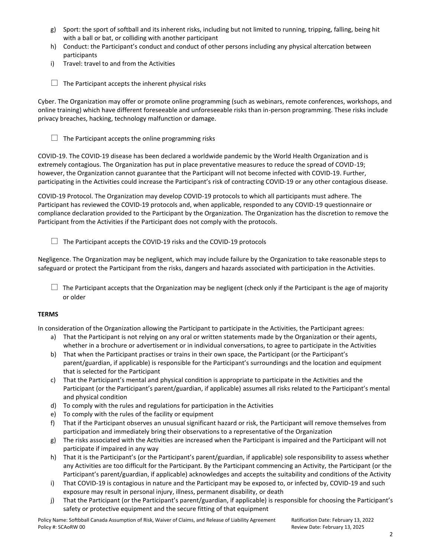- g) Sport: the sport of softball and its inherent risks, including but not limited to running, tripping, falling, being hit with a ball or bat, or colliding with another participant
- h) Conduct: the Participant's conduct and conduct of other persons including any physical altercation between participants
- i) Travel: travel to and from the Activities
- $\Box$  The Participant accepts the inherent physical risks

Cyber. The Organization may offer or promote online programming (such as webinars, remote conferences, workshops, and online training) which have different foreseeable and unforeseeable risks than in-person programming. These risks include privacy breaches, hacking, technology malfunction or damage.

 $\Box$  The Participant accepts the online programming risks

COVID-19. The COVID-19 disease has been declared a worldwide pandemic by the World Health Organization and is extremely contagious. The Organization has put in place preventative measures to reduce the spread of COVID-19; however, the Organization cannot guarantee that the Participant will not become infected with COVID-19. Further, participating in the Activities could increase the Participant's risk of contracting COVID-19 or any other contagious disease.

COVID-19 Protocol. The Organization may develop COVID-19 protocols to which all participants must adhere. The Participant has reviewed the COVID-19 protocols and, when applicable, responded to any COVID-19 questionnaire or compliance declaration provided to the Participant by the Organization. The Organization has the discretion to remove the Participant from the Activities if the Participant does not comply with the protocols.

 $\Box$  The Participant accepts the COVID-19 risks and the COVID-19 protocols

Negligence. The Organization may be negligent, which may include failure by the Organization to take reasonable steps to safeguard or protect the Participant from the risks, dangers and hazards associated with participation in the Activities.

 $\Box$  The Participant accepts that the Organization may be negligent (check only if the Participant is the age of majority or older

## **TERMS**

In consideration of the Organization allowing the Participant to participate in the Activities, the Participant agrees:

- a) That the Participant is not relying on any oral or written statements made by the Organization or their agents, whether in a brochure or advertisement or in individual conversations, to agree to participate in the Activities
- b) That when the Participant practises or trains in their own space, the Participant (or the Participant's parent/guardian, if applicable) is responsible for the Participant's surroundings and the location and equipment that is selected for the Participant
- c) That the Participant's mental and physical condition is appropriate to participate in the Activities and the Participant (or the Participant's parent/guardian, if applicable) assumes all risks related to the Participant's mental and physical condition
- d) To comply with the rules and regulations for participation in the Activities
- e) To comply with the rules of the facility or equipment
- f) That if the Participant observes an unusual significant hazard or risk, the Participant will remove themselves from participation and immediately bring their observations to a representative of the Organization
- g) The risks associated with the Activities are increased when the Participant is impaired and the Participant will not participate if impaired in any way
- h) That it is the Participant's (or the Participant's parent/guardian, if applicable) sole responsibility to assess whether any Activities are too difficult for the Participant. By the Participant commencing an Activity, the Participant (or the Participant's parent/guardian, if applicable) acknowledges and accepts the suitability and conditions of the Activity
- i) That COVID-19 is contagious in nature and the Participant may be exposed to, or infected by, COVID-19 and such exposure may result in personal injury, illness, permanent disability, or death
- j) That the Participant (or the Participant's parent/guardian, if applicable) is responsible for choosing the Participant's safety or protective equipment and the secure fitting of that equipment